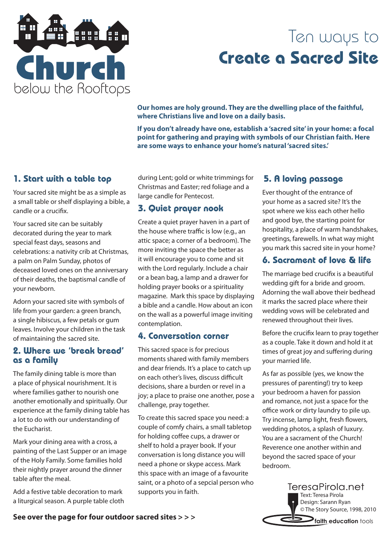

## Ten ways to **Create a Sacred Site**

**Our homes are holy ground. They are the dwelling place of the faithful, where Christians live and love on a daily basis.** 

**If you don't already have one, establish a 'sacred site' in your home: a focal point for gathering and praying with symbols of our Christian faith. Here are some ways to enhance your home's natural 'sacred sites.'**

## **1. Start with a table top**

Your sacred site might be as a simple as a small table or shelf displaying a bible, a candle or a crucifix.

Your sacred site can be suitably decorated during the year to mark special feast days, seasons and celebrations: a nativity crib at Christmas, a palm on Palm Sunday, photos of deceased loved ones on the anniversary of their deaths, the baptismal candle of your newborn.

Adorn your sacred site with symbols of life from your garden: a green branch, a single hibiscus, a few petals or gum leaves. Involve your children in the task of maintaining the sacred site.

#### **2. Where we 'break bread' as a family**

The family dining table is more than a place of physical nourishment. It is where families gather to nourish one another emotionally and spiritually. Our experience at the family dining table has a lot to do with our understanding of the Eucharist.

Mark your dining area with a cross, a painting of the Last Supper or an image of the Holy Family. Some families hold their nightly prayer around the dinner table after the meal.

Add a festive table decoration to mark a liturgical season. A purple table cloth during Lent; gold or white trimmings for Christmas and Easter; red foliage and a large candle for Pentecost.

## **3. Quiet prayer nook**

Create a quiet prayer haven in a part of the house where traffic is low (e.g., an attic space; a corner of a bedroom). The more inviting the space the better as it will encourage you to come and sit with the Lord regularly. Include a chair or a bean bag, a lamp and a drawer for holding prayer books or a spirituality magazine. Mark this space by displaying a bible and a candle. How about an icon on the wall as a powerful image inviting contemplation.

#### **4. Conversation corner**

This sacred space is for precious moments shared with family members and dear friends. It's a place to catch up on each other's lives, discuss difficult decisions, share a burden or revel in a joy; a place to praise one another, pose a challenge, pray together.

To create this sacred space you need: a couple of comfy chairs, a small tabletop for holding coffee cups, a drawer or shelf to hold a prayer book. If your conversation is long distance you will need a phone or skype access. Mark this space with an image of a favourite saint, or a photo of a sepcial person who supports you in faith.

## **5. A loving passage**

Ever thought of the entrance of your home as a sacred site? It's the spot where we kiss each other hello and good bye, the starting point for hospitality, a place of warm handshakes, greetings, farewells. In what way might you mark this sacred site in your home?

## **6. Sacrament of love & life**

The marriage bed crucifix is a beautiful wedding gift for a bride and groom. Adorning the wall above their bedhead it marks the sacred place where their wedding vows will be celebrated and renewed throughout their lives.

Before the crucifix learn to pray together as a couple. Take it down and hold it at times of great joy and suffering during your married life.

As far as possible (yes, we know the pressures of parenting!) try to keep your bedroom a haven for passion and romance, not just a space for the office work or dirty laundry to pile up. Try incense, lamp light, fresh flowers, wedding photos, a splash of luxury. You are a sacrament of the Church! Reverence one another within and beyond the sacred space of your bedroom.



## **faith education** tools **See over the page for four outdoor sacred sites > > >**